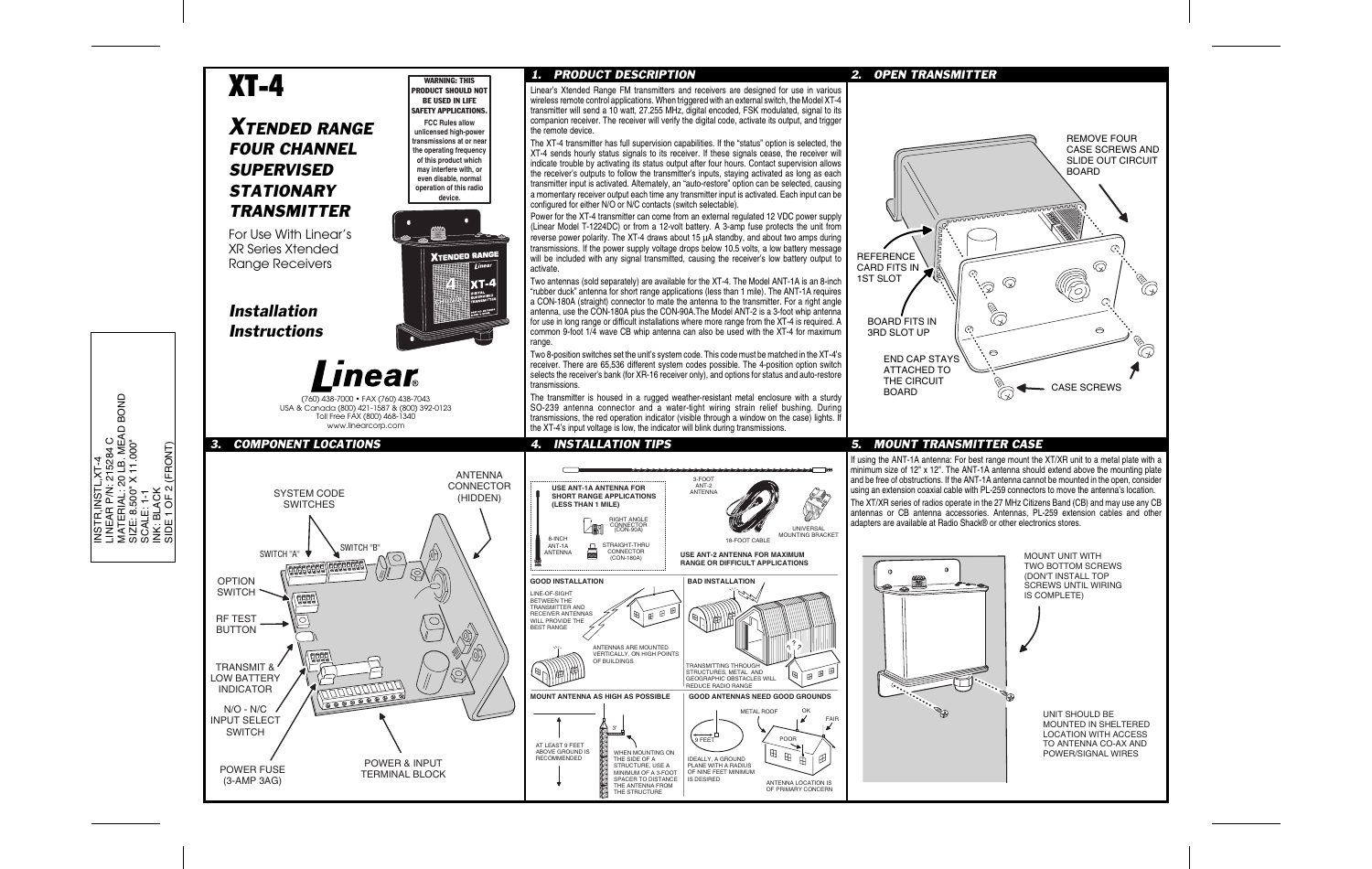# XT-4

## *XTENDED RANGEFOUR CHANNELSUPERVISEDSTATIONARYTRANSMITTER*

For Use With Linear'sXR Series XtendedRange Receivers

*InstallationInstructions*



WADNING: THIS PRODUCT SHOULD NOT BE USED IN LIFE SAFETY APPLICATIONS.**FCC Rules allow unlicensed high-power transmissions at or near the operating frequency of this product which may interfere with, or even disable, normal operation of this radio device.**

**XTENDED RANGE** 

linea

**x**T-4

(760) 438-7000 • FAX (760) 438-7043 USA & Canada (800) 421-1587 & (800) 392-0123 Toll Free FAX (800) 468-1340 www.linearcorp.com

## *3. COMPONENT LOCATIONS*



*1. PRODUCT DESCRIPTION*

Linear's Xtended Range FM transmitters and receivers are designed for use in various wireless remote control applications. When triggered with an external switch, the Model XT-4 transmitter will send a 10 watt, 27.255 MHz, digital encoded, FSK modulated, signal to its companion receiver. The receiver will verify the digital code, activate its output, and trigger the remote device.

The XT-4 transmitter has full supervision capabilities. If the "status" option is selected, the XT-4 sends hourly status signals to its receiver. If these signals cease, the receiver will indicate trouble by activating its status output after four hours. Contact supervision allows the receiver's outputs to follow the transmitter's inputs, staying activated as long as each transmitter input is activated. Alternately, an "auto-restore" option can be selected, causing a momentary receiver output each time any transmitter input is activated. Each input can be configured for either N/O or N/C contacts (switch selectable).

Power for the XT-4 transmitter can come from an external regulated 12 VDC power supply (Linear Model T-1224DC) or from a 12-volt battery. A 3-amp fuse protects the unit from reverse power polarity. The XT-4 draws about 15 μA standby, and about two amps during transmissions. If the power supply voltage drops below 10.5 volts, a low battery message will be included with any signal transmitted, causing the receiver's low battery output to activate.

Two antennas (sold separately) are available for the XT-4. The Model ANT-1A is an 8-inch "rubber duck" antenna for short range applications (less than 1 mile). The ANT-1A requires a CON-180A (straight) connector to mate the antenna to the transmitter. For a right angle antenna, use the CON-180A plus the CON-90A.The Model ANT-2 is a 3-foot whip antenna for use in long range or difficult installations where more range from the XT-4 is required. A common 9-foot 1/4 wave CB whip antenna can also be used with the XT-4 for maximum range.

Two 8-position switches set the unit's system code. This code must be matched in the XT-4's receiver. There are 65,536 different system codes possible. The 4-position option switch selects the receiver's bank (for XR-16 receiver only), and options for status and auto-restore transmissions.

The transmitter is housed in a rugged weather-resistant metal enclosure with a sturdy SO-239 antenna connector and a water-tight wiring strain relief bushing. During transmissions, the red operation indicator (visible through a window on the case) lights. If the XT-4's input voltage is low, the indicator will blink during transmissions.



## *2. OPEN TRANSMITTER*



### *4. INSTALLATION TIPS 5. MOUNT TRANSMITTER CASE*

If using the ANT-1A antenna: For best range mount the XT/XR unit to a metal plate with a minimum size of 12" x 12". The ANT-1A antenna should extend above the mounting plate and be free of obstructions. If the ANT-1A antenna cannot be mounted in the open, consider using an extension coaxial cable with PL-259 connectors to move the antenna's location. The XT/XR series of radios operate in the 27 MHz Citizens Band (CB) and may use any CB antennas or CB antenna accessories. Antennas, PL-259 extension cables and other adapters are available at Radio Shack® or other electronics stores.